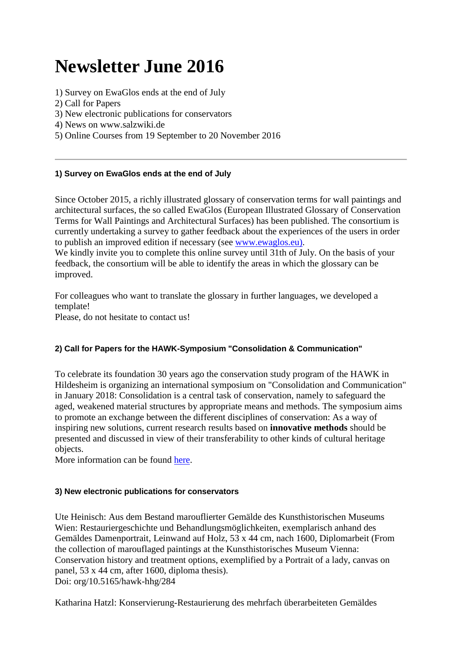# **Newsletter June 2016**

- [1\) Survey on EwaGlos ends at the end of July](https://www.hornemann-institut.de/english/newsletter_june_16.php#Anker%20T1)
- [2\) Call for Papers](https://www.hornemann-institut.de/english/newsletter_june_16.php#Anker%20T2)
- [3\) New electronic publications for conservators](https://www.hornemann-institut.de/english/newsletter_june_16.php#Anker%20T3)
- [4\) News on www.salzwiki.de](https://www.hornemann-institut.de/english/newsletter_june_16.php#Anker%20T4)
- [5\) Online Courses from 19 September to 20 November 2016](https://www.hornemann-institut.de/english/newsletter_june_16.php#Anker%20T5)

# **1) Survey on EwaGlos ends at the end of July**

Since October 2015, a richly illustrated glossary of conservation terms for wall paintings and architectural surfaces, the so called EwaGlos (European Illustrated Glossary of Conservation Terms for Wall Paintings and Architectural Surfaces) has been published. The consortium is currently undertaking a survey to gather feedback about the experiences of the users in order to publish an improved edition if necessary (see [www.ewaglos.eu\).](http://www.ewaglos.eu/)

We kindly invite you to complete this online survey until 31th of July. On the basis of your feedback, the consortium will be able to identify the areas in which the glossary can be improved.

For colleagues who want to translate the glossary in further languages, we developed a template!

Please, do not hesitate to contact us!

#### **2) Call for Papers for the HAWK-Symposium "Consolidation & Communication"**

To celebrate its foundation 30 years ago the conservation study program of the HAWK in Hildesheim is organizing an international symposium on "Consolidation and Communication" in January 2018: Consolidation is a central task of conservation, namely to safeguard the aged, weakened material structures by appropriate means and methods. The symposium aims to promote an exchange between the different disciplines of conservation: As a way of inspiring new solutions, current research results based on **innovative methods** should be presented and discussed in view of their transferability to other kinds of cultural heritage objects.

More information can be found [here.](http://www.hornemann-institut.de/english/Consolidation.php)

#### **3) New electronic publications for conservators**

Ute Heinisch: Aus dem Bestand marouflierter Gemälde des Kunsthistorischen Museums Wien: Restauriergeschichte und Behandlungsmöglichkeiten, exemplarisch anhand des Gemäldes Damenportrait, Leinwand auf Holz, 53 x 44 cm, nach 1600, Diplomarbeit (From the collection of marouflaged paintings at the Kunsthistorisches Museum Vienna: Conservation history and treatment options, exemplified by a Portrait of a lady, canvas on panel, 53 x 44 cm, after 1600, diploma thesis). Doi: org/10.5165/hawk-hhg/284

Katharina Hatzl: Konservierung-Restaurierung des mehrfach überarbeiteten Gemäldes